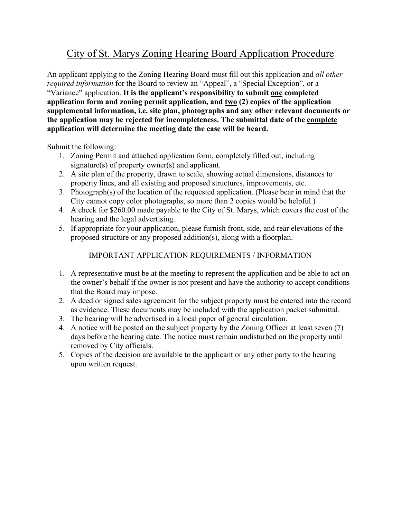## City of St. Marys Zoning Hearing Board Application Procedure

An applicant applying to the Zoning Hearing Board must fill out this application and *all other required information* for the Board to review an "Appeal", a "Special Exception", or a "Variance" application. **It is the applicant's responsibility to submit one completed application form and zoning permit application, and two (2) copies of the application supplemental information, i.e. site plan, photographs and any other relevant documents or the application may be rejected for incompleteness. The submittal date of the complete application will determine the meeting date the case will be heard.**

Submit the following:

- 1. Zoning Permit and attached application form, completely filled out, including signature(s) of property owner(s) and applicant.
- 2. A site plan of the property, drawn to scale, showing actual dimensions, distances to property lines, and all existing and proposed structures, improvements, etc.
- 3. Photograph(s) of the location of the requested application. (Please bear in mind that the City cannot copy color photographs, so more than 2 copies would be helpful.)
- 4. A check for \$260.00 made payable to the City of St. Marys, which covers the cost of the hearing and the legal advertising.
- 5. If appropriate for your application, please furnish front, side, and rear elevations of the proposed structure or any proposed addition(s), along with a floorplan.

## IMPORTANT APPLICATION REQUIREMENTS / INFORMATION

- 1. A representative must be at the meeting to represent the application and be able to act on the owner's behalf if the owner is not present and have the authority to accept conditions that the Board may impose.
- 2. A deed or signed sales agreement for the subject property must be entered into the record as evidence. These documents may be included with the application packet submittal.
- 3. The hearing will be advertised in a local paper of general circulation.
- 4. A notice will be posted on the subject property by the Zoning Officer at least seven (7) days before the hearing date. The notice must remain undisturbed on the property until removed by City officials.
- 5. Copies of the decision are available to the applicant or any other party to the hearing upon written request.